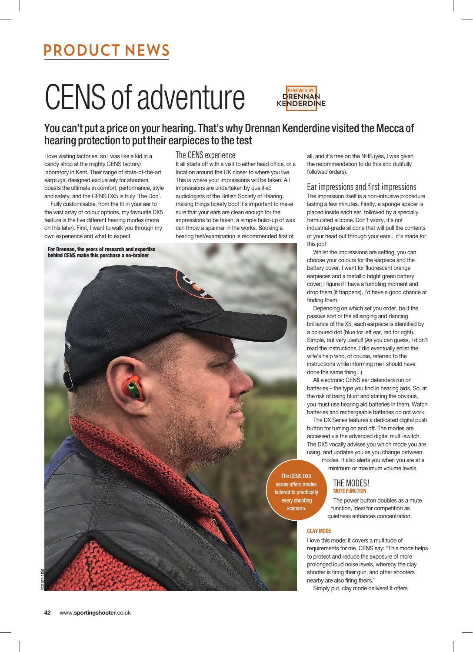# PRODUCT NEWS

# CENS of adventure



## You can't put a price on your hearing. That's why Drennan Kenderdine visited the Mecca of hearing protection to put their earpieces to the test

I love visiting factories, so I was like a kid in a candy shop at the mighty CENS factory/ laboratory in Kent. Their range of state-of-the-art earplugs, designed exclusively for shooters, boasts the ultimate in comfort, performance, style and safety, and the CENS DX5 is truly 'The Don'.

Fully customisable, from the fit in your ear to the vast array of colour options, my favourite DX5 feature is the five different hearing modes (more on this later). First, I want to walk you through my own experience and what to expect.

**For Drennan, the years of research and expertise behind CENS make this purchase a no-brainer**

### The CENS experience

It all starts off with a visit to either head office, or a location around the UK closer to where you live. This is where your impressions will be taken. All impressions are undertaken by qualified audiologists of the British Society of Hearing, making things tickety boo! It's important to make sure that your ears are clean enough for the impressions to be taken; a simple build-up of wax can throw a spanner in the works. Booking a hearing test/examination is recommended first of



all, and it's free on the NHS (yes, I was given the recommendation to do this and dutifully followed orders).

#### Ear impressions and first impressions

The impression itself is a non-intrusive procedure lasting a few minutes. Firstly, a sponge spacer is placed inside each ear, followed by a specially formulated silicone. Don't worry, it's not industrial-grade silicone that will pull the contents of your head out through your ears... it's made for this job!

Whilst the impressions are setting, you can choose your colours for the earpiece and the battery cover. I went for fluorescent orange earpieces and a metallic bright green battery cover; I figure if I have a fumbling moment and drop them (it happens), I'd have a good chance at finding them.

Depending on which set you order, be it the passive sort or the all singing and dancing brilliance of the X5, each earpiece is identified by a coloured dot (blue for left ear, red for right). Simple, but very useful! (As you can guess, I didn't read the instructions. I did eventually enlist the wife's help who, of course, referred to the instructions while informing me I should have done the same thing...)

All electronic CENS ear defenders run on batteries – the type you find in hearing aids. So, at the risk of being blunt and stating the obvious, you must use hearing aid batteries in them. Watch batteries and rechargeable batteries do not work.

The DX Series features a dedicated digital push button for turning on and off. The modes are accessed via the advanced digital multi-switch. The DX5 vocally advises you which mode you are using, and updates you as you change between modes. It also alerts you when you are at a

minimum or maximum volume levels.

THE MODES! **MUTE FUNCTION**

The power button doubles as a mute function, ideal for competition as quietness enhances concentration.

#### **CLAY MODE**

I love this mode; it covers a multitude of requirements for me. CENS say: "This mode helps to protect and reduce the exposure of more prolonged loud noise levels, whereby the clay shooter is firing their gun, and other shooters nearby are also firing theirs."

Simply put, clay mode delivers! It offers